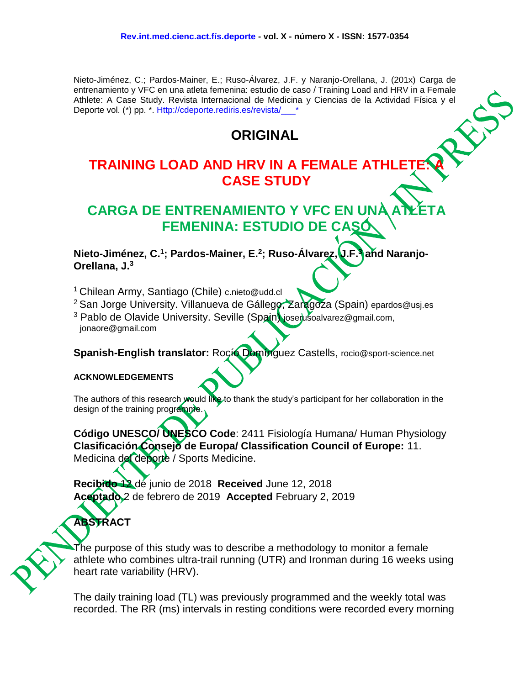Nieto-Jiménez, C.; Pardos-Mainer, E.; Ruso-Álvarez, J.F. y Naranjo-Orellana, J. (201x) Carga de entrenamiento y VFC en una atleta femenina: estudio de caso / Training Load and HRV in a Female Athlete: A Case Study. Revista Internacional de Medicina y Ciencias de la Actividad Física y el Deporte vol. (\*) pp. \*. Http://cdeporte.rediris.es/revista/

## **ORIGINAL**

# **TRAINING LOAD AND HRV IN A FEMALE ATHLET CASE STUDY**

# **CARGA DE ENTRENAMIENTO Y VFC EN UNA FEMENINA: ESTUDIO DE CASÓ**

**Nieto-Jiménez, C. 1 ; Pardos-Mainer, E. 2 ; Ruso-Álvarez, J.F.<sup>3</sup> and Naranjo-Orellana, J.<sup>3</sup>**

<sup>1</sup> Chilean Army, Santiago (Chile) c.nieto@udd.cl

<sup>2</sup> San Jorge University. Villanueva de Gállego, Zaragoza (Spain) epardos@usj.es

<sup>3</sup> Pablo de Olavide University. Seville (Spain) joserusoalvarez@gmail.com, jonaore@gmail.com

**Spanish-English translator:** Rocío Domínguez Castells, rocio@sport-science.net

#### **ACKNOWLEDGEMENTS**

The authors of this research would like to thank the study's participant for her collaboration in the design of the training programme.

**Código UNESCO/ UNESCO Code**: 2411 Fisiología Humana/ Human Physiology **Clasificación Consejo de Europa/ Classification Council of Europe:** 11. Medicina del deporte / Sports Medicine.

**Recibido** 12 de junio de 2018 **Received** June 12, 2018 **Aceptado** 2 de febrero de 2019 **Accepted** February 2, 2019

**ABSTRACT**

The purpose of this study was to describe a methodology to monitor a female athlete who combines ultra-trail running (UTR) and Ironman during 16 weeks using heart rate variability (HRV).

The daily training load (TL) was previously programmed and the weekly total was recorded. The RR (ms) intervals in resting conditions were recorded every morning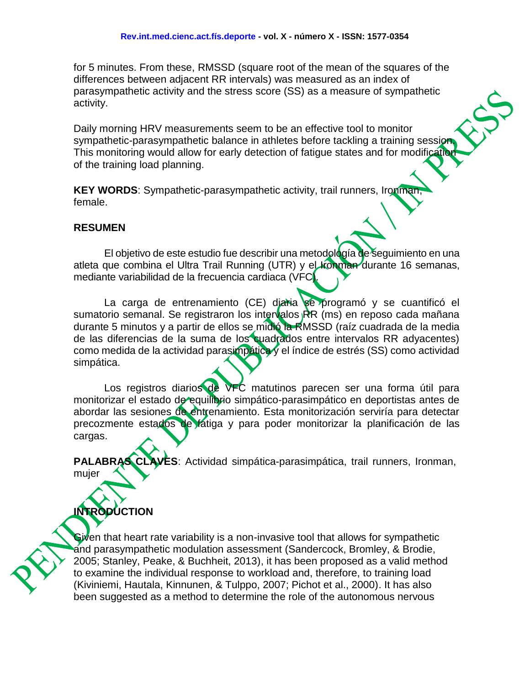for 5 minutes. From these, RMSSD (square root of the mean of the squares of the differences between adjacent RR intervals) was measured as an index of parasympathetic activity and the stress score (SS) as a measure of sympathetic activity.

Daily morning HRV measurements seem to be an effective tool to monitor sympathetic-parasympathetic balance in athletes before tackling a training session This monitoring would allow for early detection of fatigue states and for modification of the training load planning.

**KEY WORDS:** Sympathetic-parasympathetic activity, trail runners, Ironman female.

#### **RESUMEN**

El objetivo de este estudio fue describir una metodología de seguimiento en una atleta que combina el Ultra Trail Running (UTR) y el **Ironman** durante 16 semanas, mediante variabilidad de la frecuencia cardiaca (VFC).

La carga de entrenamiento (CE) diaria se programó y se cuantificó el sumatorio semanal. Se registraron los intervalos RR (ms) en reposo cada mañana durante 5 minutos y a partir de ellos se midió la RMSSD (raíz cuadrada de la media de las diferencias de la suma de los cuadrados entre intervalos RR adyacentes) como medida de la actividad parasimpática y el índice de estrés (SS) como actividad simpática.

Los registros diarios de VFC matutinos parecen ser una forma útil para monitorizar el estado de equilibrio simpático-parasimpático en deportistas antes de abordar las sesiones de entrenamiento. Esta monitorización serviría para detectar precozmente estados de fatiga y para poder monitorizar la planificación de las cargas.

**PALABRAS CLAVES**: Actividad simpática-parasimpática, trail runners, Ironman, mujer

# **INTRODUCTION**

Given that heart rate variability is a non-invasive tool that allows for sympathetic and parasympathetic modulation assessment (Sandercock, Bromley, & Brodie, 2005; Stanley, Peake, & Buchheit, 2013), it has been proposed as a valid method to examine the individual response to workload and, therefore, to training load (Kiviniemi, Hautala, Kinnunen, & Tulppo, 2007; Pichot et al., 2000). It has also been suggested as a method to determine the role of the autonomous nervous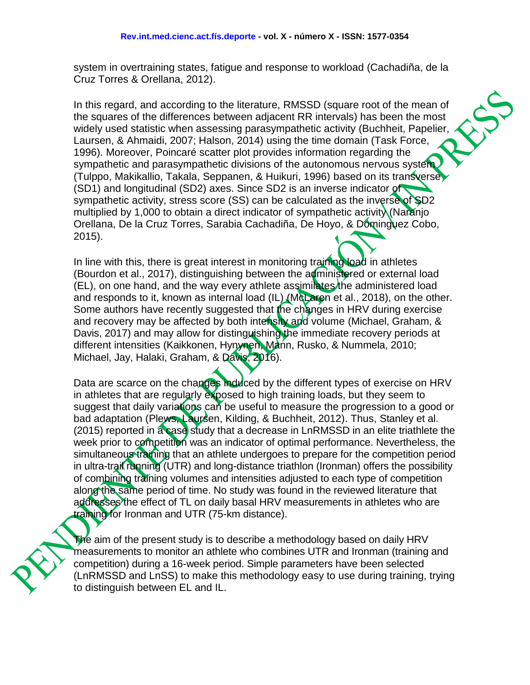system in overtraining states, fatigue and response to workload (Cachadiña, de la Cruz Torres & Orellana, 2012).

In this regard, and according to the literature, RMSSD (square root of the mean of the squares of the differences between adjacent RR intervals) has been the most widely used statistic when assessing parasympathetic activity (Buchheit, Papelier, Laursen, & Ahmaidi, 2007; Halson, 2014) using the time domain (Task Force, 1996). Moreover, Poincaré scatter plot provides information regarding the sympathetic and parasympathetic divisions of the autonomous nervous system (Tulppo, Makikallio, Takala, Seppanen, & Huikuri, 1996) based on its transverse (SD1) and longitudinal (SD2) axes. Since SD2 is an inverse indicator of sympathetic activity, stress score (SS) can be calculated as the inverse of SD2 multiplied by 1,000 to obtain a direct indicator of sympathetic activity (Naranjo Orellana, De la Cruz Torres, Sarabia Cachadiña, De Hoyo, & Dominguez Cobo, 2015).

In line with this, there is great interest in monitoring training load in athletes (Bourdon et al., 2017), distinguishing between the administered or external load (EL), on one hand, and the way every athlete assimilates the administered load and responds to it, known as internal load  $(IL)$  (McLaren et al., 2018), on the other. Some authors have recently suggested that the changes in HRV during exercise and recovery may be affected by both intensity and volume (Michael, Graham, & Davis, 2017) and may allow for distinguishing the immediate recovery periods at different intensities (Kaikkonen, Hynynen, Mann, Rusko, & Nummela, 2010; Michael, Jay, Halaki, Graham, & Davis, 2016).

Data are scarce on the changes induced by the different types of exercise on HRV in athletes that are regularly exposed to high training loads, but they seem to suggest that daily variations can be useful to measure the progression to a good or bad adaptation (Plews, Laursen, Kilding, & Buchheit, 2012). Thus, Stanley et al. (2015) reported in a case study that a decrease in LnRMSSD in an elite triathlete the week prior to competition was an indicator of optimal performance. Nevertheless, the simultaneous training that an athlete undergoes to prepare for the competition period in ultra-trail running (UTR) and long-distance triathlon (Ironman) offers the possibility of combining training volumes and intensities adjusted to each type of competition along the same period of time. No study was found in the reviewed literature that addresses the effect of TL on daily basal HRV measurements in athletes who are training for Ironman and UTR (75-km distance).

The aim of the present study is to describe a methodology based on daily HRV measurements to monitor an athlete who combines UTR and Ironman (training and competition) during a 16-week period. Simple parameters have been selected (LnRMSSD and LnSS) to make this methodology easy to use during training, trying to distinguish between EL and IL.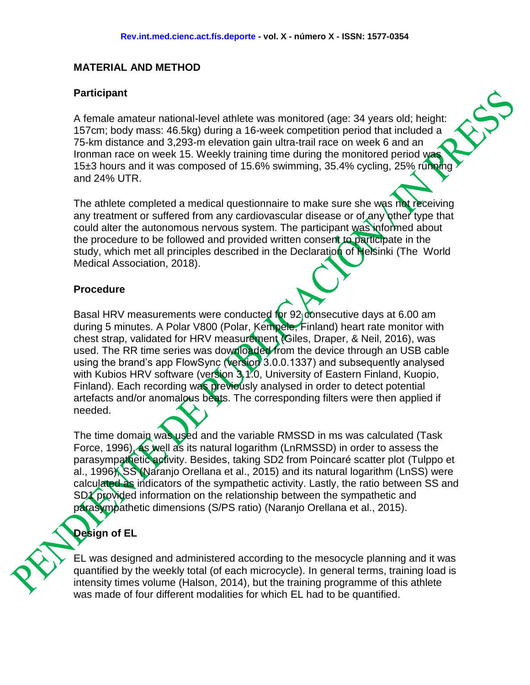#### **MATERIAL AND METHOD**

#### **Participant**

A female amateur national-level athlete was monitored (age: 34 years old; height: 157cm; body mass: 46.5kg) during a 16-week competition period that included a 75-km distance and 3,293-m elevation gain ultra-trail race on week 6 and an Ironman race on week 15. Weekly training time during the monitored period was 15±3 hours and it was composed of 15.6% swimming, 35.4% cycling, 25% running and 24% UTR.

The athlete completed a medical questionnaire to make sure she was not receiving any treatment or suffered from any cardiovascular disease or of any other type that could alter the autonomous nervous system. The participant was informed about the procedure to be followed and provided written consent to participate in the study, which met all principles described in the Declaration of Helsinki (The World Medical Association, 2018).

#### **Procedure**

Basal HRV measurements were conducted for 92 consecutive days at 6.00 am during 5 minutes. A Polar V800 (Polar, Kempele, Finland) heart rate monitor with chest strap, validated for HRV measurement (Giles, Draper, & Neil, 2016), was used. The RR time series was downloaded from the device through an USB cable using the brand's app FlowSync (version 3.0.0.1337) and subsequently analysed with Kubios HRV software (version 3.1.0, University of Eastern Finland, Kuopio, Finland). Each recording was previously analysed in order to detect potential artefacts and/or anomalous beats. The corresponding filters were then applied if needed.

The time domain was used and the variable RMSSD in ms was calculated (Task Force, 1996), as well as its natural logarithm (LnRMSSD) in order to assess the parasympathetic activity. Besides, taking SD2 from Poincaré scatter plot (Tulppo et al., 1996), SS (Naranjo Orellana et al., 2015) and its natural logarithm (LnSS) were calculated as indicators of the sympathetic activity. Lastly, the ratio between SS and SD1 provided information on the relationship between the sympathetic and parasympathetic dimensions (S/PS ratio) (Naranjo Orellana et al., 2015).

## **Design of EL**

EL was designed and administered according to the mesocycle planning and it was quantified by the weekly total (of each microcycle). In general terms, training load is intensity times volume (Halson, 2014), but the training programme of this athlete was made of four different modalities for which EL had to be quantified.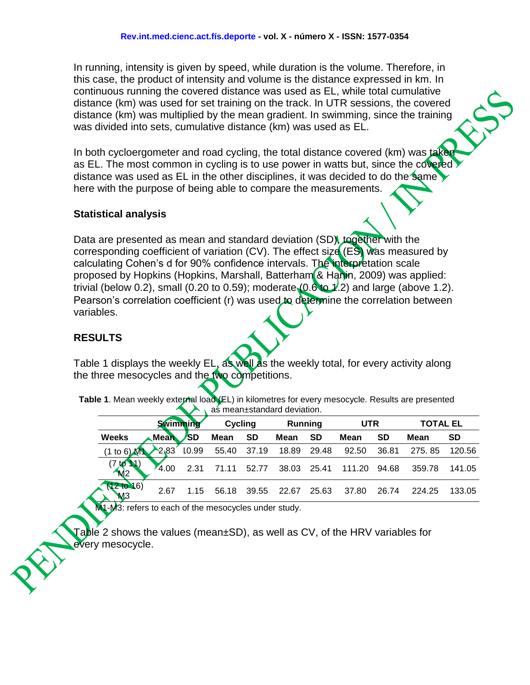In running, intensity is given by speed, while duration is the volume. Therefore, in this case, the product of intensity and volume is the distance expressed in km. In continuous running the covered distance was used as EL, while total cumulative distance (km) was used for set training on the track. In UTR sessions, the covered distance (km) was multiplied by the mean gradient. In swimming, since the training was divided into sets, cumulative distance (km) was used as EL.

In both cycloergometer and road cycling, the total distance covered (km) was take as EL. The most common in cycling is to use power in watts but, since the covered distance was used as EL in the other disciplines, it was decided to do the same  $\blacktriangleright$ here with the purpose of being able to compare the measurements.

#### **Statistical analysis**

Data are presented as mean and standard deviation (SD), together with the corresponding coefficient of variation (CV). The effect size (ES) was measured by calculating Cohen's d for 90% confidence intervals. The interpretation scale proposed by Hopkins (Hopkins, Marshall, Batterham & Hanin, 2009) was applied: trivial (below 0.2), small (0.20 to 0.59); moderate  $(0.6$  to  $1/2)$  and large (above 1.2). Pearson's correlation coefficient (r) was used to determine the correlation between variables.

#### **RESULTS**

Table 1 displays the weekly EL, as well as the weekly total, for every activity along the three mesocycles and the two competitions.

| Table 1. Mean weekly external load (EL) in kilometres for every mesocycle. Results are presented |
|--------------------------------------------------------------------------------------------------|
| as mean±standard deviation.                                                                      |

|                            |                                        | <b>Swimming</b> |                              | Cycling   | Running |           | <b>UTR</b> |           | <b>TOTAL EL</b> |           |  |
|----------------------------|----------------------------------------|-----------------|------------------------------|-----------|---------|-----------|------------|-----------|-----------------|-----------|--|
| <b>Weeks</b>               | $\blacktriangle$ Mean $\blacktriangle$ | <b>SD</b>       | <b>Mean</b>                  | <b>SD</b> | Mean    | <b>SD</b> | Mean       | <b>SD</b> | Mean            | <b>SD</b> |  |
| $(1 \text{ to } 6)$ M      | 2.83                                   | 10.99           | 55.40 37.19 18.89 29.48      |           |         |           | 92.50      | 36.81     | 275.85          | 120.56    |  |
| (7,10,1)<br>M <sub>2</sub> | 4.00                                   |                 | 2.31 71.11 52.77 38.03 25.41 |           |         |           | 111.20     | 94.68     | 359.78          | 141.05    |  |
| $2$ to $16)$<br>MЗ         | 2.67                                   | 1.15            | 56.18                        | 39.55     | 22.67   | 25.63     | 37.80      | 26.74     | 224.25          | 133.05    |  |

M1-M3: refers to each of the mesocycles under study.

Table 2 shows the values (mean±SD), as well as CV, of the HRV variables for every mesocycle.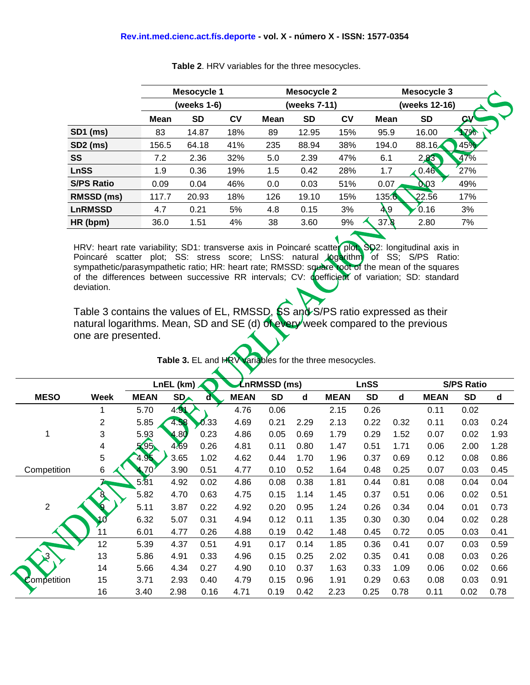#### **Rev.int.med.cienc.act.fís.deporte - vol. X - número X - ISSN: 1577-0354**

|                   |             | <b>Mesocycle 1</b> |     |             | <b>Mesocycle 2</b> |     | Mesocycle 3   |           |           |  |  |
|-------------------|-------------|--------------------|-----|-------------|--------------------|-----|---------------|-----------|-----------|--|--|
|                   | (weeks 1-6) |                    |     |             | (weeks 7-11)       |     | (weeks 12-16) |           |           |  |  |
|                   | Mean        | <b>SD</b>          | CV  | <b>Mean</b> | <b>SD</b>          | CV  | <b>Mean</b>   | <b>SD</b> | <b>GV</b> |  |  |
| <b>SD1 (ms)</b>   | 83          | 14.87              | 18% | 89          | 12.95              | 15% | 95.9          | 16.00     | 17%       |  |  |
| <b>SD2</b> (ms)   | 156.5       | 64.18              | 41% | 235         | 88.94              | 38% | 194.0         | 88.16     | 45%       |  |  |
| <b>SS</b>         | 7.2         | 2.36               | 32% | 5.0         | 2.39               | 47% | 6.1           | 2,83      | 47%       |  |  |
| <b>LnSS</b>       | 1.9         | 0.36               | 19% | 1.5         | 0.42               | 28% | 1.7           | 0.46      | 27%       |  |  |
| <b>S/PS Ratio</b> | 0.09        | 0.04               | 46% | 0.0         | 0.03               | 51% | 0.07          | 0.03      | 49%       |  |  |
| RMSSD (ms)        | 117.7       | 20.93              | 18% | 126         | 19.10              | 15% | 135.6         | 22.56     | 17%       |  |  |
| <b>LnRMSSD</b>    | 4.7         | 0.21               | 5%  | 4.8         | 0.15               | 3%  | 49            | 0.16      | 3%        |  |  |
| HR (bpm)          | 36.0        | 1.51               | 4%  | 38          | 3.60               | 9%  | 37.8          | 2.80      | 7%        |  |  |
|                   |             |                    |     |             |                    |     |               |           |           |  |  |

**Table 2**. HRV variables for the three mesocycles.

HRV: heart rate variability; SD1: transverse axis in Poincaré scatter plot; SD2: longitudinal axis in Poincaré scatter plot; SS: stress score; LnSS: natural logarithm of SS; S/PS Ratio: sympathetic/parasympathetic ratio; HR: heart rate; RMSSD: square root of the mean of the squares of the differences between successive RR intervals; CV: coefficient of variation; SD: standard deviation.

Table 3 contains the values of EL, RMSSD,  $\frac{1}{5}$ S and S/PS ratio expressed as their natural logarithms. Mean, SD and SE (d) of every week compared to the previous one are presented.

|                |                | LnRMSSD (ms)<br>LnEL (km) |            |      |             |           | <b>LnSS</b> |             | <b>S/PS Ratio</b> |      |             |           |      |
|----------------|----------------|---------------------------|------------|------|-------------|-----------|-------------|-------------|-------------------|------|-------------|-----------|------|
| <b>MESO</b>    | Week           | <b>MEAN</b>               | <b>SDA</b> | ď    | <b>MEAN</b> | <b>SD</b> | d           | <b>MEAN</b> | <b>SD</b>         | d    | <b>MEAN</b> | <b>SD</b> | d    |
|                | 1              | 5.70                      | 4.91       |      | 4.76        | 0.06      |             | 2.15        | 0.26              |      | 0.11        | 0.02      |      |
|                | $\overline{2}$ | 5.85                      | 4.58       | 0.33 | 4.69        | 0.21      | 2.29        | 2.13        | 0.22              | 0.32 | 0.11        | 0.03      | 0.24 |
| 1              | 3              | 5.93                      | 4.80       | 0.23 | 4.86        | 0.05      | 0.69        | 1.79        | 0.29              | 1.52 | 0.07        | 0.02      | 1.93 |
|                | 4              | 5,95                      | 4.69       | 0.26 | 4.81        | 0.11      | 0.80        | 1.47        | 0.51              | 1.71 | 0.06        | 2.00      | 1.28 |
|                | 5              | 4.95                      | 3.65       | 1.02 | 4.62        | 0.44      | 1.70        | 1.96        | 0.37              | 0.69 | 0.12        | 0.08      | 0.86 |
| Competition    | 6              | .70                       | 3.90       | 0.51 | 4.77        | 0.10      | 0.52        | 1.64        | 0.48              | 0.25 | 0.07        | 0.03      | 0.45 |
|                | 7              | 5.81                      | 4.92       | 0.02 | 4.86        | 0.08      | 0.38        | 1.81        | 0.44              | 0.81 | 0.08        | 0.04      | 0.04 |
|                | 8              | 5.82                      | 4.70       | 0.63 | 4.75        | 0.15      | 1.14        | 1.45        | 0.37              | 0.51 | 0.06        | 0.02      | 0.51 |
| $\overline{2}$ |                | 5.11                      | 3.87       | 0.22 | 4.92        | 0.20      | 0.95        | 1.24        | 0.26              | 0.34 | 0.04        | 0.01      | 0.73 |
|                |                | 6.32                      | 5.07       | 0.31 | 4.94        | 0.12      | 0.11        | 1.35        | 0.30              | 0.30 | 0.04        | 0.02      | 0.28 |
|                | 11             | 6.01                      | 4.77       | 0.26 | 4.88        | 0.19      | 0.42        | 1.48        | 0.45              | 0.72 | 0.05        | 0.03      | 0.41 |
|                | 12             | 5.39                      | 4.37       | 0.51 | 4.91        | 0.17      | 0.14        | 1.85        | 0.36              | 0.41 | 0.07        | 0.03      | 0.59 |
| $\mathbf{3}$   | 13             | 5.86                      | 4.91       | 0.33 | 4.96        | 0.15      | 0.25        | 2.02        | 0.35              | 0.41 | 0.08        | 0.03      | 0.26 |
|                | 14             | 5.66                      | 4.34       | 0.27 | 4.90        | 0.10      | 0.37        | 1.63        | 0.33              | 1.09 | 0.06        | 0.02      | 0.66 |
| Competition    | 15             | 3.71                      | 2.93       | 0.40 | 4.79        | 0.15      | 0.96        | 1.91        | 0.29              | 0.63 | 0.08        | 0.03      | 0.91 |
|                | 16             | 3.40                      | 2.98       | 0.16 | 4.71        | 0.19      | 0.42        | 2.23        | 0.25              | 0.78 | 0.11        | 0.02      | 0.78 |

**Table 3.** EL and HRV variables for the three mesocycles.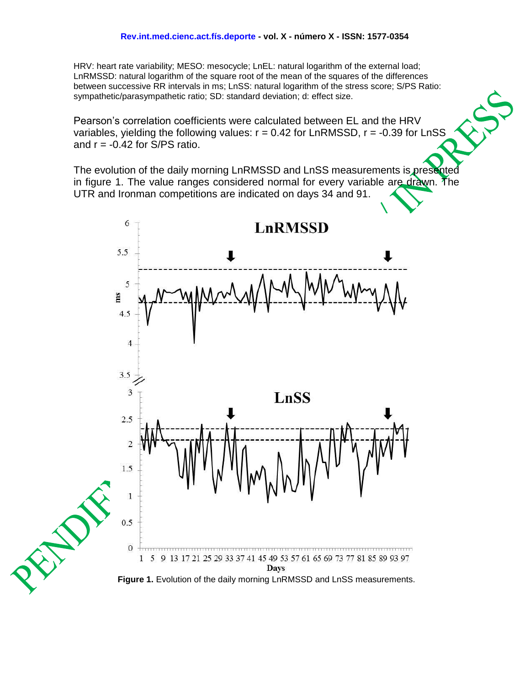HRV: heart rate variability; MESO: mesocycle; LnEL: natural logarithm of the external load; LnRMSSD: natural logarithm of the square root of the mean of the squares of the differences between successive RR intervals in ms; LnSS: natural logarithm of the stress score; S/PS Ratio: sympathetic/parasympathetic ratio; SD: standard deviation; d: effect size.

Pearson's correlation coefficients were calculated between EL and the HRV variables, yielding the following values:  $r = 0.42$  for LnRMSSD,  $r = -0.39$  for LnSS and  $r = -0.42$  for S/PS ratio.

The evolution of the daily morning LnRMSSD and LnSS measurements is presented in figure 1. The value ranges considered normal for every variable are drawn. The UTR and Ironman competitions are indicated on days 34 and 91.



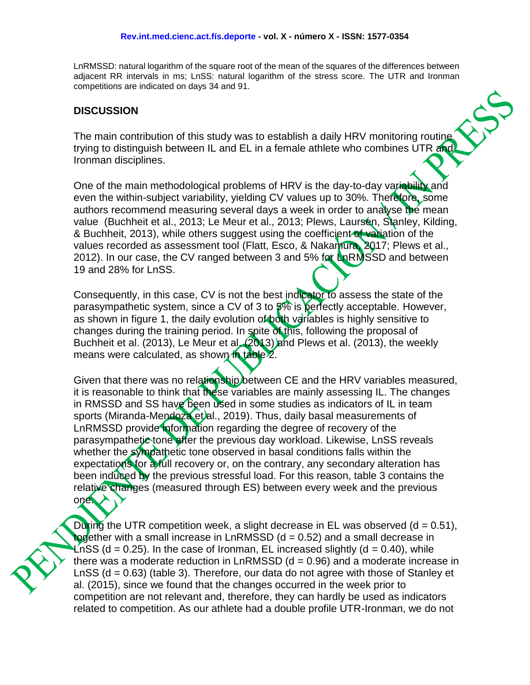LnRMSSD: natural logarithm of the square root of the mean of the squares of the differences between adjacent RR intervals in ms; LnSS: natural logarithm of the stress score. The UTR and Ironman competitions are indicated on days 34 and 91.

#### **DISCUSSION**

The main contribution of this study was to establish a daily HRV monitoring routine trying to distinguish between IL and EL in a female athlete who combines UTR and Ironman disciplines.

One of the main methodological problems of HRV is the day-to-day variability and even the within-subject variability, yielding CV values up to 30%. Therefore, some authors recommend measuring several days a week in order to analyse the mean value (Buchheit et al., 2013; Le Meur et al., 2013; Plews, Laursen, Stanley, Kilding, & Buchheit, 2013), while others suggest using the coefficient of variation of the values recorded as assessment tool (Flatt, Esco, & Nakamura, 2017; Plews et al., 2012). In our case, the CV ranged between 3 and 5% for LnRMSSD and between 19 and 28% for LnSS.

Consequently, in this case, CV is not the best indicator to assess the state of the parasympathetic system, since a CV of 3 to 5% is perfectly acceptable. However, as shown in figure 1, the daily evolution of both variables is highly sensitive to changes during the training period. In spite of this, following the proposal of Buchheit et al. (2013), Le Meur et al. (2013) and Plews et al. (2013), the weekly means were calculated, as shown in table 2.

Given that there was no relationship between CE and the HRV variables measured, it is reasonable to think that these variables are mainly assessing IL. The changes in RMSSD and SS have been used in some studies as indicators of IL in team sports (Miranda-Mendoza et al., 2019). Thus, daily basal measurements of LnRMSSD provide information regarding the degree of recovery of the parasympathetic tone after the previous day workload. Likewise, LnSS reveals whether the sympathetic tone observed in basal conditions falls within the expectations for a full recovery or, on the contrary, any secondary alteration has been induced by the previous stressful load. For this reason, table 3 contains the relative changes (measured through ES) between every week and the previous one.

During the UTR competition week, a slight decrease in EL was observed  $(d = 0.51)$ , together with a small increase in LnRMSSD (d = 0.52) and a small decrease in LnSS (d = 0.25). In the case of Ironman, EL increased slightly (d = 0.40), while there was a moderate reduction in  $LRMSSD$  (d = 0.96) and a moderate increase in LnSS (d = 0.63) (table 3). Therefore, our data do not agree with those of Stanley et al. (2015), since we found that the changes occurred in the week prior to competition are not relevant and, therefore, they can hardly be used as indicators related to competition. As our athlete had a double profile UTR-Ironman, we do not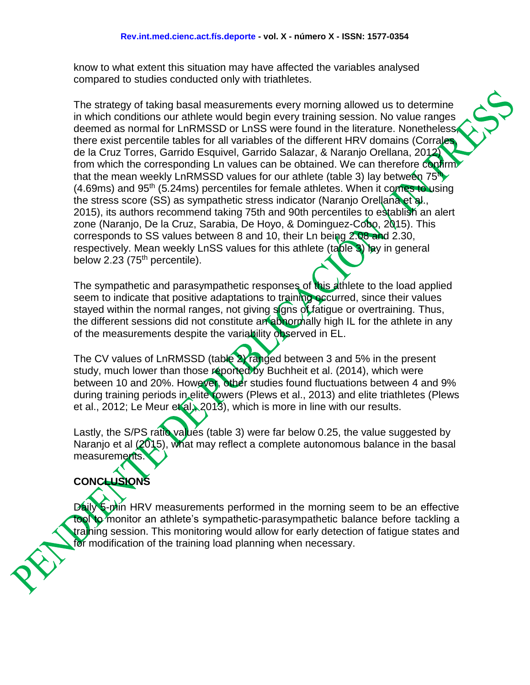know to what extent this situation may have affected the variables analysed compared to studies conducted only with triathletes.

The strategy of taking basal measurements every morning allowed us to determine in which conditions our athlete would begin every training session. No value ranges deemed as normal for LnRMSSD or LnSS were found in the literature. Nonetheless, there exist percentile tables for all variables of the different HRV domains (Corrales de la Cruz Torres, Garrido Esquivel, Garrido Salazar, & Naranjo Orellana, 2012) from which the corresponding Ln values can be obtained. We can therefore confirm that the mean weekly LnRMSSD values for our athlete (table 3) lay between  $75<sup>th</sup>$  $(4.69\text{ms})$  and  $95\text{th}$  (5.24ms) percentiles for female athletes. When it comes to using the stress score (SS) as sympathetic stress indicator (Naranjo Orellana et al., 2015), its authors recommend taking 75th and 90th percentiles to establish an alert zone (Naranjo, De la Cruz, Sarabia, De Hoyo, & Dominguez-Cobo, 2015). This corresponds to SS values between 8 and 10, their Ln being 2.08 and 2.30, respectively. Mean weekly LnSS values for this athlete (table 3) lay in general below 2.23  $(75<sup>th</sup>$  percentile).

The sympathetic and parasympathetic responses of this athlete to the load applied seem to indicate that positive adaptations to training occurred, since their values stayed within the normal ranges, not giving signs of fatigue or overtraining. Thus, the different sessions did not constitute an abnormally high IL for the athlete in any of the measurements despite the variability observed in EL.

The CV values of LnRMSSD (table 2) ranged between 3 and 5% in the present study, much lower than those reported by Buchheit et al. (2014), which were between 10 and 20%. However, other studies found fluctuations between 4 and 9% during training periods in elite rowers (Plews et al., 2013) and elite triathletes (Plews et al., 2012; Le Meur et al., 2013), which is more in line with our results.

Lastly, the S/PS ratio values (table 3) were far below 0.25, the value suggested by Naranjo et al (2015), what may reflect a complete autonomous balance in the basal measurements.

## **CONCLUSIONS**

Daily 5-min HRV measurements performed in the morning seem to be an effective tool to monitor an athlete's sympathetic-parasympathetic balance before tackling a training session. This monitoring would allow for early detection of fatigue states and for modification of the training load planning when necessary.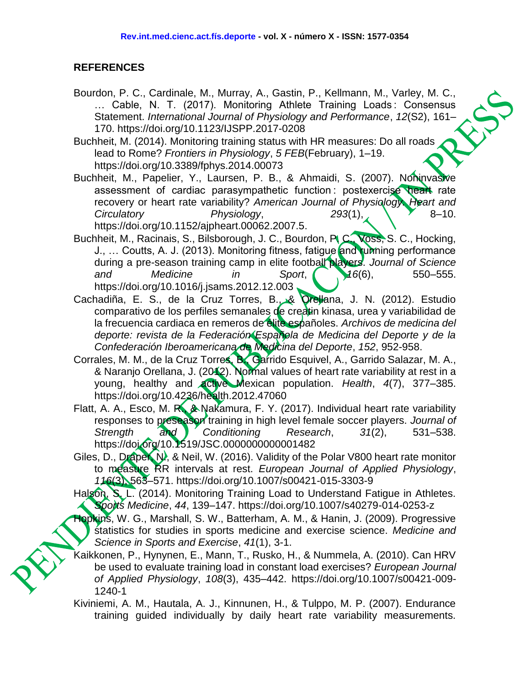#### **REFERENCES**

- Bourdon, P. C., Cardinale, M., Murray, A., Gastin, P., Kellmann, M., Varley, M. C., … Cable, N. T. (2017). Monitoring Athlete Training Loads : Consensus Statement. *International Journal of Physiology and Performance*, *12*(S2), 161– 170. https://doi.org/10.1123/IJSPP.2017-0208
- Buchheit, M. (2014). Monitoring training status with HR measures: Do all roads lead to Rome? *Frontiers in Physiology*, *5 FEB*(February), 1–19. https://doi.org/10.3389/fphys.2014.00073
- Buchheit, M., Papelier, Y., Laursen, P. B., & Ahmaidi, S. (2007). Noninvasive assessment of cardiac parasympathetic function : postexercise heart rate recovery or heart rate variability? *American Journal of Physiology. Heart and Circulatory Physiology*, 293(1), 8-10. https://doi.org/10.1152/ajpheart.00062.2007.5.
- Buchheit, M., Racinais, S., Bilsborough, J. C., Bourdon, P. C., Voss, S. C., Hocking, J., ... Coutts, A. J. (2013). Monitoring fitness, fatigue and running performance during a pre-season training camp in elite football players. *Journal of Science and Medicine in Sport*, *16*(6), 550–555. https://doi.org/10.1016/j.jsams.2012.12.003
- Cachadiña, E. S., de la Cruz Torres, B., & Orellana, J. N. (2012). Estudio comparativo de los perfiles semanales de creatin kinasa, urea y variabilidad de la frecuencia cardiaca en remeros de élite españoles. *Archivos de medicina del deporte: revista de la Federación Española de Medicina del Deporte y de la Confederación Iberoamericana de Medicina del Deporte*, *152*, 952-958.
- Corrales, M. M., de la Cruz Torres, B., Garrido Esquivel, A., Garrido Salazar, M. A., & Naranjo Orellana, J. (2012). Normal values of heart rate variability at rest in a young, healthy and active Mexican population. *Health*, *4*(7), 377–385. https://doi.org/10.4236/health.2012.47060
- Flatt, A. A., Esco, M. R., & Nakamura, F. Y. (2017). Individual heart rate variability responses to preseason training in high level female soccer players. *Journal of Strength and Conditioning Research*, *31*(2), 531–538. https://doi.org/10.1519/JSC.0000000000001482
- Giles, D., Draper, N., & Neil, W. (2016). Validity of the Polar V800 heart rate monitor to measure RR intervals at rest. *European Journal of Applied Physiology*, *116*(3), 563–571. https://doi.org/10.1007/s00421-015-3303-9
- Halson, S. L. (2014). Monitoring Training Load to Understand Fatigue in Athletes. *Sports Medicine*, *44*, 139–147. https://doi.org/10.1007/s40279-014-0253-z
- Hopkins, W. G., Marshall, S. W., Batterham, A. M., & Hanin, J. (2009). Progressive statistics for studies in sports medicine and exercise science. *Medicine and Science in Sports and Exercise*, *41*(1), 3-1.
- Kaikkonen, P., Hynynen, E., Mann, T., Rusko, H., & Nummela, A. (2010). Can HRV be used to evaluate training load in constant load exercises? *European Journal of Applied Physiology*, *108*(3), 435–442. https://doi.org/10.1007/s00421-009- 1240-1
- Kiviniemi, A. M., Hautala, A. J., Kinnunen, H., & Tulppo, M. P. (2007). Endurance training guided individually by daily heart rate variability measurements.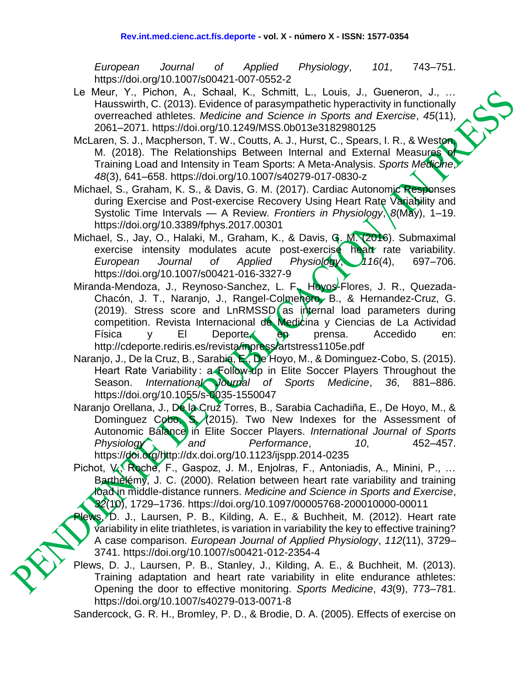*European Journal of Applied Physiology*, *101*, 743–751. https://doi.org/10.1007/s00421-007-0552-2

- Le Meur, Y., Pichon, A., Schaal, K., Schmitt, L., Louis, J., Gueneron, J., … Hausswirth, C. (2013). Evidence of parasympathetic hyperactivity in functionally overreached athletes. *Medicine and Science in Sports and Exercise*, *45*(11), 2061–2071. https://doi.org/10.1249/MSS.0b013e3182980125
- McLaren, S. J., Macpherson, T. W., Coutts, A. J., Hurst, C., Spears, I. R., & Weston, M. (2018). The Relationships Between Internal and External Measures Training Load and Intensity in Team Sports: A Meta-Analysis. *Sports Medicine*, *48*(3), 641–658. https://doi.org/10.1007/s40279-017-0830-z
- Michael, S., Graham, K. S., & Davis, G. M. (2017). Cardiac Autonomic Responses during Exercise and Post-exercise Recovery Using Heart Rate Variability and Systolic Time Intervals — A Review. *Frontiers in Physiology*, *8*(May), 1–19. https://doi.org/10.3389/fphys.2017.00301
- Michael, S., Jay, O., Halaki, M., Graham, K., & Davis, G. M. (2016). Submaximal exercise intensity modulates acute post-exercise heart rate variability. *European Journal of Applied Physiology*, *116*(4), 697–706. https://doi.org/10.1007/s00421-016-3327-9
- Miranda-Mendoza, J., Reynoso-Sanchez, L. F., Hoyos-Flores, J. R., Quezada-Chacón, J. T., Naranjo, J., Rangel-Colmenero, B., & Hernandez-Cruz, G. (2019). Stress score and LnRMSSD as internal load parameters during competition. Revista Internacional de Medicina y Ciencias de La Actividad Física y El Deporte, en prensa. Accedido en: [http://cdeporte.rediris.es/revista/inpress/artstress1105e.pdf](https://www.google.com/url?q=http://cdeporte.rediris.es/revista/inpress/artstress1105e.pdf&sa=D&source=hangouts&ust=1548935649357000&usg=AFQjCNHq31t_DIXWUJBwXjsHb_owrin4LA)
- Naranjo, J., De la Cruz, B., Sarabia, E., De Hoyo, M., & Dominguez-Cobo, S. (2015). Heart Rate Variability: a Follow-up in Elite Soccer Players Throughout the Season. *International Journal of Sports Medicine*, *36*, 881–886. https://doi.org/10.1055/s-0035-1550047
- Naranjo Orellana, J., De la Cruz Torres, B., Sarabia Cachadiña, E., De Hoyo, M., & Dominguez Cobo, S. (2015). Two New Indexes for the Assessment of Autonomic Balance in Elite Soccer Players. *International Journal of Sports*  Physiology and Performance, 10, 452–457. https://doi.org/http://dx.doi.org/10.1123/ijspp.2014-0235
- Pichot, V., Roche, F., Gaspoz, J. M., Enjolras, F., Antoniadis, A., Minini, P., … Barthèlémy, J. C. (2000). Relation between heart rate variability and training load in middle-distance runners. *Medicine and Science in Sports and Exercise*, *32*(10), 1729–1736. https://doi.org/10.1097/00005768-200010000-00011
- lews, D. J., Laursen, P. B., Kilding, A. E., & Buchheit, M. (2012). Heart rate variability in elite triathletes, is variation in variability the key to effective training? A case comparison. *European Journal of Applied Physiology*, *112*(11), 3729– 3741. https://doi.org/10.1007/s00421-012-2354-4
- Plews, D. J., Laursen, P. B., Stanley, J., Kilding, A. E., & Buchheit, M. (2013). Training adaptation and heart rate variability in elite endurance athletes: Opening the door to effective monitoring. *Sports Medicine*, *43*(9), 773–781. https://doi.org/10.1007/s40279-013-0071-8

Sandercock, G. R. H., Bromley, P. D., & Brodie, D. A. (2005). Effects of exercise on